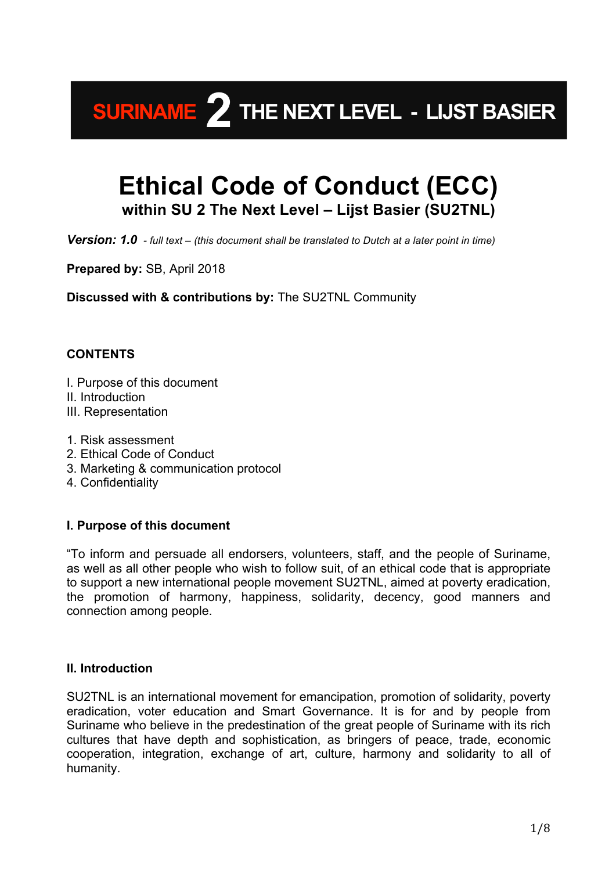## **SURINAME 2** THE NEXT LEVEL - LIJST BASIER

### **Ethical Code of Conduct (ECC) within SU 2 The Next Level – Lijst Basier (SU2TNL)**

*Version: 1.0 - full text – (this document shall be translated to Dutch at a later point in time)*

**Prepared by:** SB, April 2018

**Discussed with & contributions by:** The SU2TNL Community

#### **CONTENTS**

- I. Purpose of this document
- II. Introduction
- III. Representation
- 1. Risk assessment
- 2. Ethical Code of Conduct
- 3. Marketing & communication protocol
- 4. Confidentiality

#### **I. Purpose of this document**

"To inform and persuade all endorsers, volunteers, staff, and the people of Suriname, as well as all other people who wish to follow suit, of an ethical code that is appropriate to support a new international people movement SU2TNL, aimed at poverty eradication, the promotion of harmony, happiness, solidarity, decency, good manners and connection among people.

#### **II. Introduction**

SU2TNL is an international movement for emancipation, promotion of solidarity, poverty eradication, voter education and Smart Governance. It is for and by people from Suriname who believe in the predestination of the great people of Suriname with its rich cultures that have depth and sophistication, as bringers of peace, trade, economic cooperation, integration, exchange of art, culture, harmony and solidarity to all of humanity.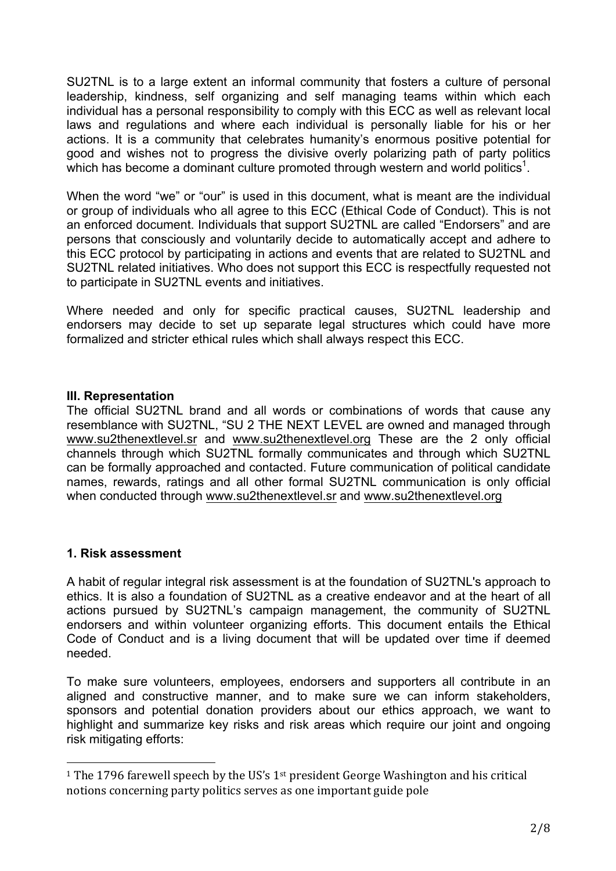SU2TNL is to a large extent an informal community that fosters a culture of personal leadership, kindness, self organizing and self managing teams within which each individual has a personal responsibility to comply with this ECC as well as relevant local laws and regulations and where each individual is personally liable for his or her actions. It is a community that celebrates humanity's enormous positive potential for good and wishes not to progress the divisive overly polarizing path of party politics which has become a dominant culture promoted through western and world politics<sup>1</sup>.

When the word "we" or "our" is used in this document, what is meant are the individual or group of individuals who all agree to this ECC (Ethical Code of Conduct). This is not an enforced document. Individuals that support SU2TNL are called "Endorsers" and are persons that consciously and voluntarily decide to automatically accept and adhere to this ECC protocol by participating in actions and events that are related to SU2TNL and SU2TNL related initiatives. Who does not support this ECC is respectfully requested not to participate in SU2TNL events and initiatives.

Where needed and only for specific practical causes, SU2TNL leadership and endorsers may decide to set up separate legal structures which could have more formalized and stricter ethical rules which shall always respect this ECC.

#### **III. Representation**

The official SU2TNL brand and all words or combinations of words that cause any resemblance with SU2TNL, "SU 2 THE NEXT LEVEL are owned and managed through www.su2thenextlevel.sr and www.su2thenextlevel.org These are the 2 only official channels through which SU2TNL formally communicates and through which SU2TNL can be formally approached and contacted. Future communication of political candidate names, rewards, ratings and all other formal SU2TNL communication is only official when conducted through www.su2thenextlevel.sr and www.su2thenextlevel.org

#### **1. Risk assessment**

 

A habit of regular integral risk assessment is at the foundation of SU2TNL's approach to ethics. It is also a foundation of SU2TNL as a creative endeavor and at the heart of all actions pursued by SU2TNL's campaign management, the community of SU2TNL endorsers and within volunteer organizing efforts. This document entails the Ethical Code of Conduct and is a living document that will be updated over time if deemed needed.

To make sure volunteers, employees, endorsers and supporters all contribute in an aligned and constructive manner, and to make sure we can inform stakeholders, sponsors and potential donation providers about our ethics approach, we want to highlight and summarize key risks and risk areas which require our joint and ongoing risk mitigating efforts:

<sup>&</sup>lt;sup>1</sup> The 1796 farewell speech by the US's  $1<sup>st</sup>$  president George Washington and his critical notions concerning party politics serves as one important guide pole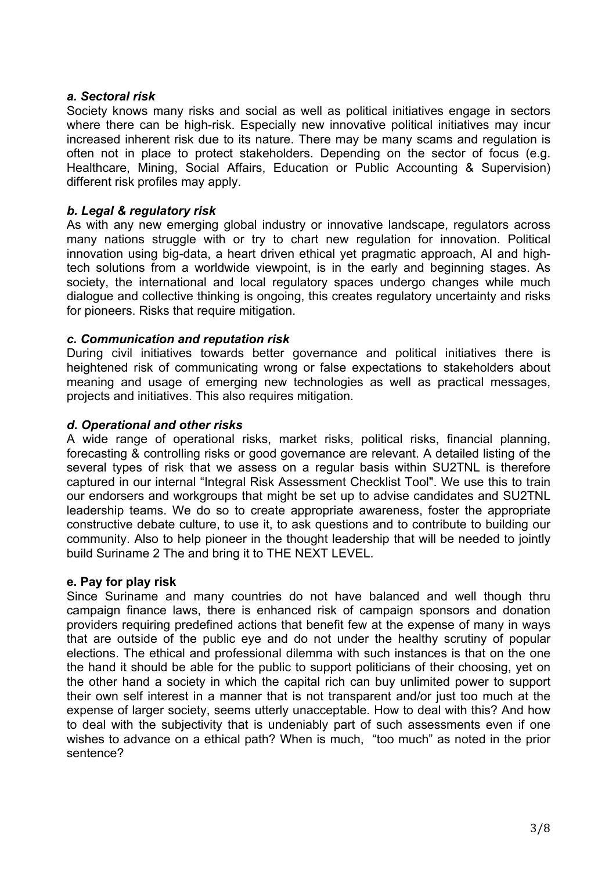#### *a. Sectoral risk*

Society knows many risks and social as well as political initiatives engage in sectors where there can be high-risk. Especially new innovative political initiatives may incur increased inherent risk due to its nature. There may be many scams and regulation is often not in place to protect stakeholders. Depending on the sector of focus (e.g. Healthcare, Mining, Social Affairs, Education or Public Accounting & Supervision) different risk profiles may apply.

#### *b. Legal & regulatory risk*

As with any new emerging global industry or innovative landscape, regulators across many nations struggle with or try to chart new regulation for innovation. Political innovation using big-data, a heart driven ethical yet pragmatic approach, AI and hightech solutions from a worldwide viewpoint, is in the early and beginning stages. As society, the international and local regulatory spaces undergo changes while much dialogue and collective thinking is ongoing, this creates regulatory uncertainty and risks for pioneers. Risks that require mitigation.

#### *c. Communication and reputation risk*

During civil initiatives towards better governance and political initiatives there is heightened risk of communicating wrong or false expectations to stakeholders about meaning and usage of emerging new technologies as well as practical messages, projects and initiatives. This also requires mitigation.

#### *d. Operational and other risks*

A wide range of operational risks, market risks, political risks, financial planning, forecasting & controlling risks or good governance are relevant. A detailed listing of the several types of risk that we assess on a regular basis within SU2TNL is therefore captured in our internal "Integral Risk Assessment Checklist Tool". We use this to train our endorsers and workgroups that might be set up to advise candidates and SU2TNL leadership teams. We do so to create appropriate awareness, foster the appropriate constructive debate culture, to use it, to ask questions and to contribute to building our community. Also to help pioneer in the thought leadership that will be needed to jointly build Suriname 2 The and bring it to THE NEXT LEVEL.

#### **e. Pay for play risk**

Since Suriname and many countries do not have balanced and well though thru campaign finance laws, there is enhanced risk of campaign sponsors and donation providers requiring predefined actions that benefit few at the expense of many in ways that are outside of the public eye and do not under the healthy scrutiny of popular elections. The ethical and professional dilemma with such instances is that on the one the hand it should be able for the public to support politicians of their choosing, yet on the other hand a society in which the capital rich can buy unlimited power to support their own self interest in a manner that is not transparent and/or just too much at the expense of larger society, seems utterly unacceptable. How to deal with this? And how to deal with the subjectivity that is undeniably part of such assessments even if one wishes to advance on a ethical path? When is much, "too much" as noted in the prior sentence?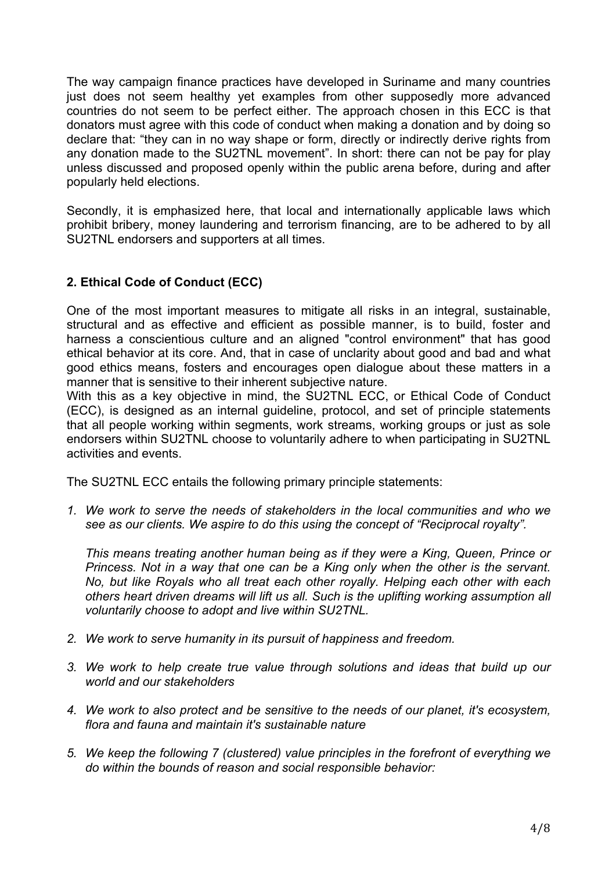The way campaign finance practices have developed in Suriname and many countries just does not seem healthy yet examples from other supposedly more advanced countries do not seem to be perfect either. The approach chosen in this ECC is that donators must agree with this code of conduct when making a donation and by doing so declare that: "they can in no way shape or form, directly or indirectly derive rights from any donation made to the SU2TNL movement". In short: there can not be pay for play unless discussed and proposed openly within the public arena before, during and after popularly held elections.

Secondly, it is emphasized here, that local and internationally applicable laws which prohibit bribery, money laundering and terrorism financing, are to be adhered to by all SU2TNL endorsers and supporters at all times.

#### **2. Ethical Code of Conduct (ECC)**

One of the most important measures to mitigate all risks in an integral, sustainable, structural and as effective and efficient as possible manner, is to build, foster and harness a conscientious culture and an aligned "control environment" that has good ethical behavior at its core. And, that in case of unclarity about good and bad and what good ethics means, fosters and encourages open dialogue about these matters in a manner that is sensitive to their inherent subjective nature.

With this as a key objective in mind, the SU2TNL ECC, or Ethical Code of Conduct (ECC), is designed as an internal guideline, protocol, and set of principle statements that all people working within segments, work streams, working groups or just as sole endorsers within SU2TNL choose to voluntarily adhere to when participating in SU2TNL activities and events.

The SU2TNL ECC entails the following primary principle statements:

*1. We work to serve the needs of stakeholders in the local communities and who we see as our clients. We aspire to do this using the concept of "Reciprocal royalty".* 

*This means treating another human being as if they were a King, Queen, Prince or Princess. Not in a way that one can be a King only when the other is the servant. No, but like Royals who all treat each other royally. Helping each other with each others heart driven dreams will lift us all. Such is the uplifting working assumption all voluntarily choose to adopt and live within SU2TNL.*

- *2. We work to serve humanity in its pursuit of happiness and freedom.*
- *3. We work to help create true value through solutions and ideas that build up our world and our stakeholders*
- *4. We work to also protect and be sensitive to the needs of our planet, it's ecosystem, flora and fauna and maintain it's sustainable nature*
- *5. We keep the following 7 (clustered) value principles in the forefront of everything we do within the bounds of reason and social responsible behavior:*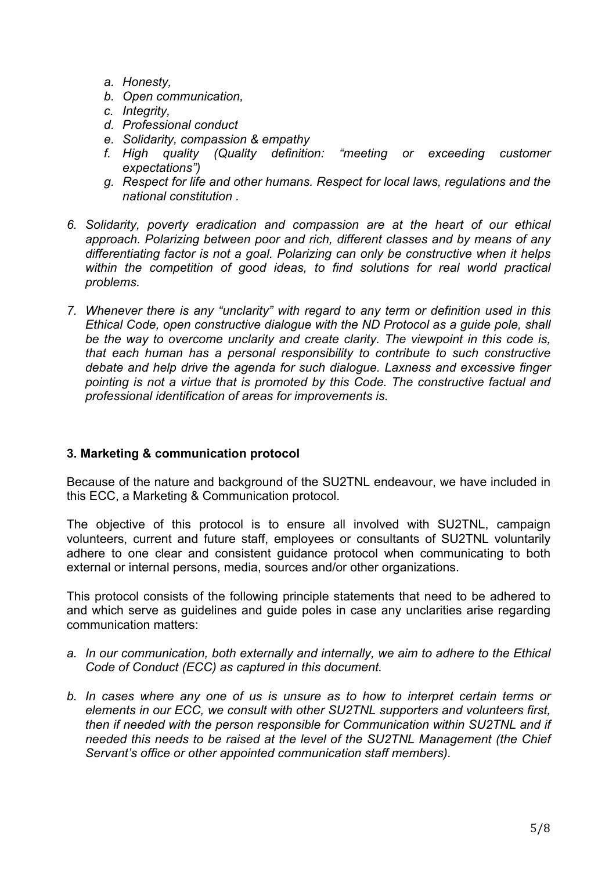- *a. Honesty,*
- *b. Open communication,*
- *c. Integrity,*
- *d. Professional conduct*
- *e. Solidarity, compassion & empathy*
- *f. High quality (Quality definition: "meeting or exceeding customer expectations")*
- *g. Respect for life and other humans. Respect for local laws, regulations and the national constitution .*
- *6. Solidarity, poverty eradication and compassion are at the heart of our ethical approach. Polarizing between poor and rich, different classes and by means of any differentiating factor is not a goal. Polarizing can only be constructive when it helps within the competition of good ideas, to find solutions for real world practical problems.*
- *7. Whenever there is any "unclarity" with regard to any term or definition used in this Ethical Code, open constructive dialogue with the ND Protocol as a guide pole, shall be the way to overcome unclarity and create clarity. The viewpoint in this code is, that each human has a personal responsibility to contribute to such constructive debate and help drive the agenda for such dialogue. Laxness and excessive finger pointing is not a virtue that is promoted by this Code. The constructive factual and professional identification of areas for improvements is.*

#### **3. Marketing & communication protocol**

Because of the nature and background of the SU2TNL endeavour, we have included in this ECC, a Marketing & Communication protocol.

The objective of this protocol is to ensure all involved with SU2TNL, campaign volunteers, current and future staff, employees or consultants of SU2TNL voluntarily adhere to one clear and consistent guidance protocol when communicating to both external or internal persons, media, sources and/or other organizations.

This protocol consists of the following principle statements that need to be adhered to and which serve as guidelines and guide poles in case any unclarities arise regarding communication matters:

- *a. In our communication, both externally and internally, we aim to adhere to the Ethical Code of Conduct (ECC) as captured in this document.*
- *b. In cases where any one of us is unsure as to how to interpret certain terms or elements in our ECC, we consult with other SU2TNL supporters and volunteers first, then if needed with the person responsible for Communication within SU2TNL and if needed this needs to be raised at the level of the SU2TNL Management (the Chief Servant's office or other appointed communication staff members).*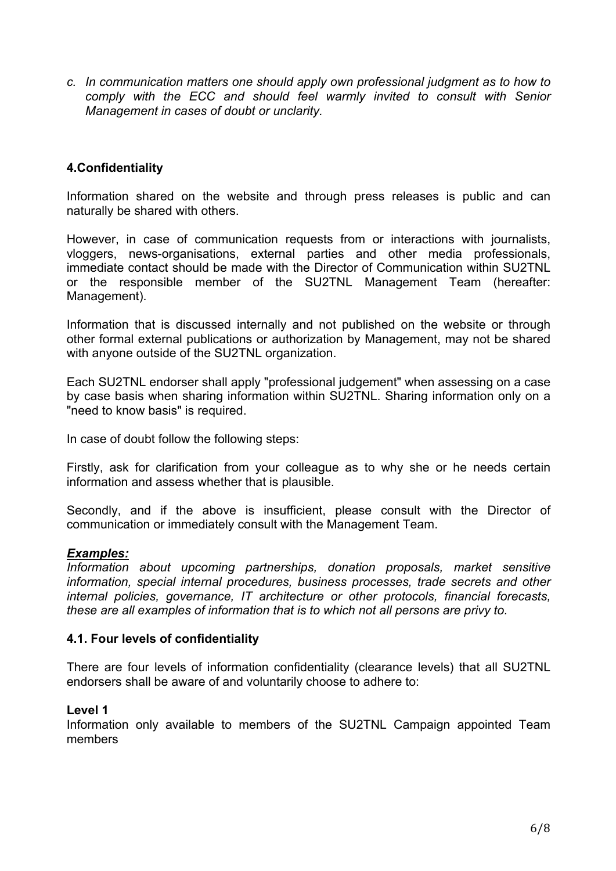*c. In communication matters one should apply own professional judgment as to how to comply with the ECC and should feel warmly invited to consult with Senior Management in cases of doubt or unclarity.*

#### **4.Confidentiality**

Information shared on the website and through press releases is public and can naturally be shared with others.

However, in case of communication requests from or interactions with journalists, vloggers, news-organisations, external parties and other media professionals, immediate contact should be made with the Director of Communication within SU2TNL or the responsible member of the SU2TNL Management Team (hereafter: Management).

Information that is discussed internally and not published on the website or through other formal external publications or authorization by Management, may not be shared with anyone outside of the SU2TNL organization.

Each SU2TNL endorser shall apply "professional judgement" when assessing on a case by case basis when sharing information within SU2TNL. Sharing information only on a "need to know basis" is required.

In case of doubt follow the following steps:

Firstly, ask for clarification from your colleague as to why she or he needs certain information and assess whether that is plausible.

Secondly, and if the above is insufficient, please consult with the Director of communication or immediately consult with the Management Team.

#### *Examples:*

*Information about upcoming partnerships, donation proposals, market sensitive information, special internal procedures, business processes, trade secrets and other internal policies, governance, IT architecture or other protocols, financial forecasts, these are all examples of information that is to which not all persons are privy to.*

#### **4.1. Four levels of confidentiality**

There are four levels of information confidentiality (clearance levels) that all SU2TNL endorsers shall be aware of and voluntarily choose to adhere to:

#### **Level 1**

Information only available to members of the SU2TNL Campaign appointed Team members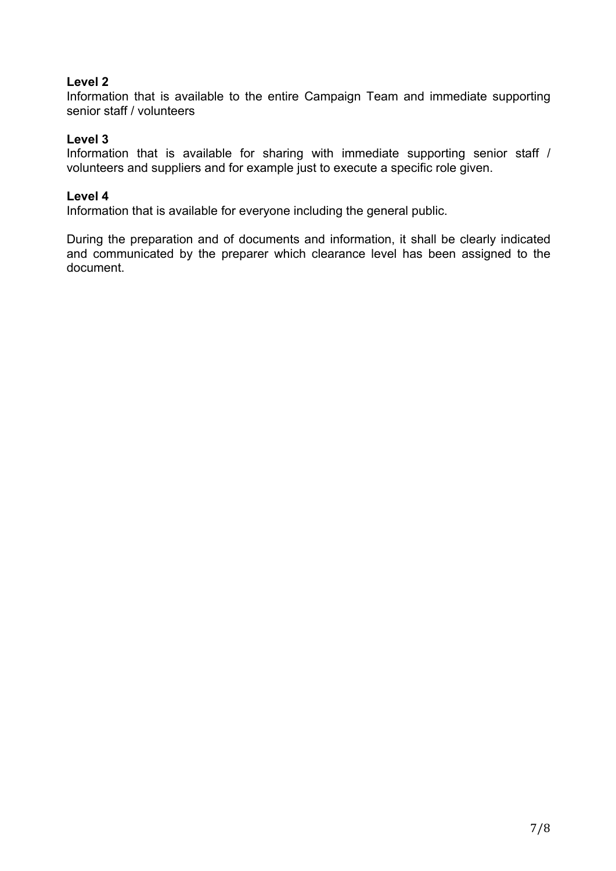#### **Level 2**

Information that is available to the entire Campaign Team and immediate supporting senior staff / volunteers

#### **Level 3**

Information that is available for sharing with immediate supporting senior staff / volunteers and suppliers and for example just to execute a specific role given.

#### **Level 4**

Information that is available for everyone including the general public.

During the preparation and of documents and information, it shall be clearly indicated and communicated by the preparer which clearance level has been assigned to the document.